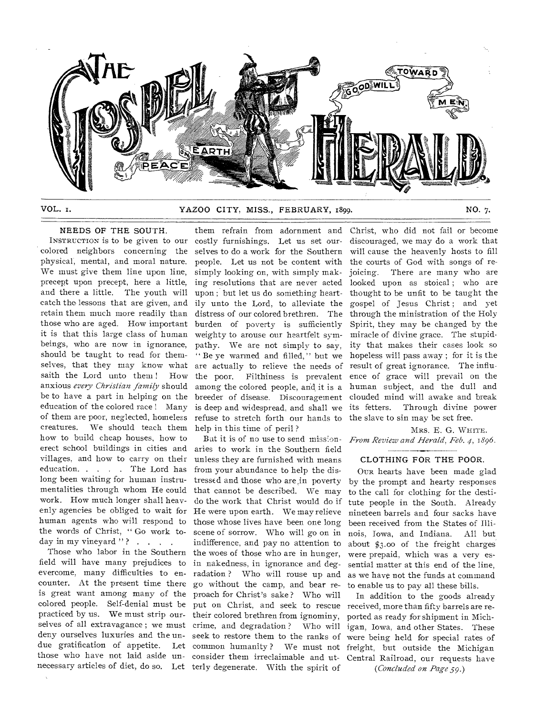

VOL. I. YAZOO CITY, MISS., FEBRUARY, 1899. NO. 7.

# NEEDS OF THE SOUTH.

INSTRUCTION is to be given to our colored neighbors concerning the physical, mental, and moral nature. We must give them line upon line, precept upon precept, here a little, and there a little. The youth will catch the lessons that are given, and retain them much more readily than those who are aged. How important it is that this large class of human beings, who are now in ignorance, should be taught to read for themselves, that they may know what saith the Lord unto them ! How anxious *every Christian family* should be to have a part in helping on the education of the colored race ! Many of them are poor, neglected, homeless creatures. We should teach them how to build cheap houses, how to erect school buildings in cities and villages, and how to carry on their education. . . . . The Lord has long been waiting for human instrumentalities through whom He could work. How much longer shall heavenly agencies be obliged to wait for human agents who will respond to the words of Christ, " Go work today in my vineyard "? . . . .

Those who labor in the Southern field will have many prejudices to evercome, many difficulties to encounter. At the present time there is great want among many of the colored people. Self-denial must be practiced by us. We must strip ourselves of all extravagance ; we must deny ourselves luxuries and the undue gratification of appetite. Let those who have not laid aside unnecessary articles of diet, do so. Let terly degenerate. With the spirit of

them refrain from adornment and costly furnishings. Let us set ourselves to do a work for the Southern people. Let us not be content with simply looking on, with simply making resolutions that are never acted upon ; but let us do something heartily unto the Lord, to alleviate the distress of our colored brethren. The burden of poverty is sufficiently weighty to arouse our heartfelt sympathy. We are not simply to say, " Be ye warmed and filled, " but we are actually to relieve the needs of the poor. Filthiness is prevalent among the colored people, and it is a breeder of disease. Discouragement is deep and widespread, and shall we refuse to stretch forth our hands to help in this time of peril ?

But it is of no use to send missionaries to work in the Southern field unless they are furnished with means from your abundance to help the distressed and those who are ,in poverty that cannot be described. We may do the work that Christ would do if He were upon earth. We may relieve those whose lives have been one long scene of sorrow. Who will go on in indifference, and pay no attention to the woes of those who are in hunger, in nakedness, in ignorance and degradation ? Who will rouse up and go without the camp, and bear reproach for Christ's sake ? Who will put on Christ, and seek to rescue received, more than fifty barrels are retheir colored brethren from ignominy, crime, and degradation ? Who will seek to restore them to the ranks of were being held for special rates of common humanity ? We must not freight, but outside the Michigan consider them irreclaimable and ut-Central Railroad, our requests have

Christ, who did not fail or become discouraged, we may do a work that will cause the heavenly hosts to fill the courts of God with songs of rejoicing. There are many who are looked upon as stoical; who are thought to be unfit to be taught the gospel of Jesus Christ ; and yet through the ministration of the Holy Spirit, they may be changed by the miracle of divine grace. The stupidity that makes their cases look so hopeless will pass away ; for it is the result of great ignorance. The influence of grace will prevail on the human subject, and the dull and clouded mind will awake and break its fetters. Through divine power the slave to sin may be set free.

MRS. E. G. WHITE. *From Review and Herald, Feb. 4,1896.* 

## CLOTHING FOR THE POOR.

OUR hearts have been made glad by the prompt and hearty responses to the call for clothing for the destitute people in the South. Already nineteen barrels and four sacks have been received from the States of Illinois, Iowa, and Indiana. All but about \$3.00 of the freight charges were prepaid, which was a very essential matter at this end of the line, as we have not the funds at command to enable us to pay all these bills.

In addition to the goods already ported as ready for shipment in Michigan, Iowa, and other States. These *(Concluded on Page 59.)*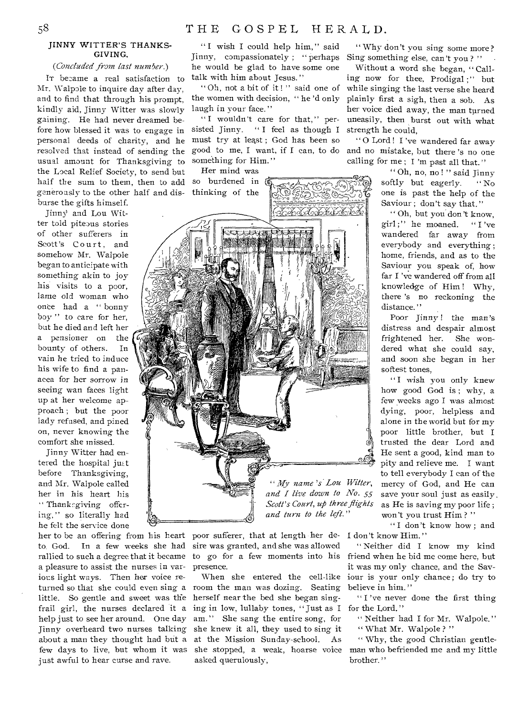# JINNY WITTER'S THANKS-GIVING.

*(Concluded from last number.)* 

Pr became a real satisfaction to Mr. Walpole to inquire day after day, and to find that through his prompt, kindly aid, Jinny Witter was slowly gaining. He had never dreamed before how blessed it was to engage in personal deeds of charity, and he resolved that instead of sending the usual amount for Thanksgiving to the Local Relief Society, to send but half the sum to them, then to add generously to the other half and disburse the gifts himself.

Jinny and Lou Witter told piteous stories of other sufferers in Scott's Court, and somehow Mr. Walpole began to anticipate with something akin to joy his visits to a poor, lame old woman who once had a " bonny boy" to care for her, but he died and left her a pensioner on the bounty of others. In vain he tried to induce his wife to find a panacea for her sorrow in seeing wan faces light up at her welcome approach ; but the poor lady refused, and pined on, never knowing the comfort she missed.

Jinny Witter had entered the hospital just before Thanksgiving, and Mr. Walpole called her in his heart his " Thanksgiving offering," so literally had he felt the service done

a pleasure to assist the nurses in various light ways. Then her voice relittle. So gentle and sweet was the herself near the bed she began singjust awful to hear curse and rave.

"I wish I could help him," said Jinny, compassionately ; " perhaps he would be glad to have some one talk with him about Jesus."

" Oh, not a bit of it!" said one of the women with decision, " he 'd only laugh in your face."

"I wouldn't care for that," persisted Jinny. " I feel as though I must try at least ; God has been so good to me, I want, if I can, to do and no mistake, but there 's no one something for Him."

Her mind was so burdened in



her to be an offering from his heart poor sufferer, that at length her deto. God. In a few weeks she had sire was granted, and she was allowed rallied to such a degree that it became to go for a few moments into his friend when he bid me come here, but presence.

turned so that she could even sing a room the man was dozing. Seating frail girl, the nurses declared it a ing in low, lullaby tones, " Just as I help just to see her around. One day am." She sang the entire song, for Jinny overheard two nurses talking she knew it all, they used to sing it about a man they thought had but a at the Mission Sunday-school. As few days to live, but whom it was she stopped, a weak, hoarse voice When she entered the cell-like asked querulously,

" Why don't you sing some more? Sing something else, can't you ? "

Without a word she began, "Calling now for thee, Prodigal ;" but while singing the last verse she heard plainly first a sigh, then a sob. As her voice died away, the man turned uneasily, then burst out with what strength he could,

" 0 Lord ! I 'ye wandered far away calling for me ; I 'm past all that."

> " Oh, no, no ! " said Jinny softly but eagerly. "No one is past the help of the Saviour ; don't say that."

> Oh, but you don't know, girl ;" he moaned. " I 've wandered far away from everybody and everything; home, friends, and as to the Saviour you speak of, how far I 've wandered off from all knowledge of Him ! Why, there 's no reckoning the distance."

> Poor Jinny ! the man's distress and despair almost frightened her. She wondered what she could say, and soon she began in her softest tones,

"I wish you only knew how good God is; why, a few weeks ago I was almost dying, poor, helpless and alone in the world but for my poor little brother, but I trusted the dear Lord and He sent a good, kind man to pity and relieve me. I want to tell everybody I can of the mercy of God, and He can save your soul just as easily. as He is saving my poor life ; won't you trust Him?"

"I don't know how; and I don't know Him."

" Neither did I know my kind it was my only chance, and the Saviour is your only chance; do try to believe in him."

"I've never done the first thing for the Lord."

" Neither had I for Mr. Walpole." " What Mr. Walpole ? "

" Why, the good Christian gentleman who befriended me and my little brother."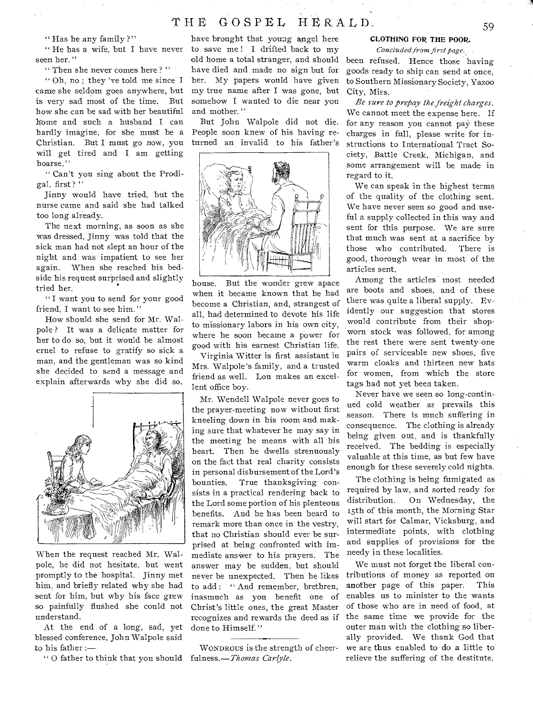# THE GOSPEL HERALD. 59

" Has he any family ?"

" He has a wife, but I have never seen her."

" Then she never comes here ? "

" Oh, no ; they 'ye told me since I came she seldom goes anywhere, but is very sad most of the time. But how she can be sad with her beautiful home and such a husband. I can hardly imagine, for she must be a Christian. But I must go now, you will get tired and I am getting hoarse."

" Can't you sing about the Prodigal, first?"

Jinny would have tried, but the nurse came and said she had talked too long already.

The next morning, as soon as she was dressed, Jinny was told that the sick man had not slept an hour of the night and was impatient to see her again. When she reached his bedside his request surprised and slightly tried her.

" I want you to send for your good friend, I want to see him."

How should she send for Mr. Walpole ? It was a delicate matter for her to do so, but it would be almost cruel to refuse to gratify so sick a man, and the gentleman was so kind she decided to send a message and explain afterwards why she did so.



When the request reached Mr. Walpole, he did not hesitate, but went promptly to the hospital. Jinny met him, and briefly related why she had sent for him, but why his face grew so painfully flushed she could not understand.

At the end of a long, sad, yet blessed conference, John Walpole said to his father :—

" 0 father to think that you should fulness.— *Thomas Carlyle.* 

have brought that young angel here to save me ! I drifted back to my old home a total stranger, and should have died and made no sign but for her. My papers would have given my true name after I was gone, but somehow I wanted to die near you and mother."

But John Walpole did not die. People soon knew of his having returned an invalid to his father's



house. But the wonder grew apace when it became known that he had become a Christian, and, strangest of all, had determined to devote his life to missionary labors in his own city, where he soon became a power for good with his earnest Christian life.

Virginia Witter is first assistant in Mrs. Walpole's family, and a trusted friend as well. Lou makes an excellent office boy.

Mr. Wendell Walpole never goes to the prayer-meeting now without first kneeling down in his room and making sure that whatever he may say in the meeting he means with all his heart. Then he dwells strenuously on the fact that real charity consists in personal disbursement of the Lord's bounties. True thanksgiving consists in a practical rendering back to the Lord some portion of his plenteous benefits. And he has been heard to remark more than once in the vestry, that no Christian should ever be surprised at being confronted with immediate answer to his prayers. The answer may be sudden, but should never be unexpected. Then he likes to add: "And remember, brethren, inasmuch as you benefit one of Christ's little ones, the great Master recognizes and rewards the deed as if done to Himself."

WONDROUS is-the strength of cheer-

# CLOTHING FOR THE POOR.

*Concluded from first page.* 

been refused. Hence those having goods ready to ship can send at once, to Southern Missionary Society, Yazoo City, Miss.

*Be sure to prepay the freight charges.*  We cannot meet the expense here. If for any reason you cannot pay these charges in full, please write for instructions to International Tract Society, Battle Creek, Michigan, and some arrangement will be made in regard to it.

We can speak in the highest terms of the quality of the clothing sent. We have never seen so good and useful a supply collected in this way and sent for this purpose. We are sure that much was sent at a sacrifice by those who contributed. There is good, thorough wear in most of the articles sent.

Among the articles most needed are boots and shoes, and of these there was quite a liberal supply. Evidently our suggestion that stores would contribute from their shopworn stock was followed, for among the rest there were sent twenty-one pairs of serviceable new shoes, five warm cloaks and thirteen new hats for women, from which the store tags had not yet been taken.

Never have we seen so long-continued cold weather as prevails this season. There is much suffering in consequence. The clothing is already being given out, and is thankfully received. The bedding is especially valuable at this time, as but few have enough for these severely cold nights.

The clothing is being fumigated as required by law, and sorted ready for distribution. On Wednesday, the 15th of this month, the Morning Star will start for Calmar, Vicksburg, and intermediate points, with clothing and supplies of provisions for the needy in these localities.

We must not forget the liberal contributions of money as reported on another page of this paper. This enables us to minister to the wants of those who are in need of food, at the same time we provide for the outer man with the clothing so liberally provided. We thank God that we are thus enabled to do a little to relieve the suffering of the destitute.